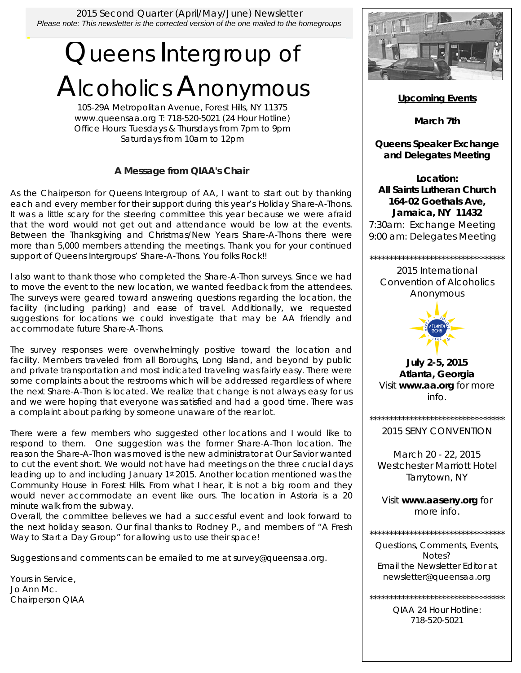2015 Second Quarter (April/May/June) Newsletter *Please note: This newsletter is the corrected version of the one mailed to the homegroups*

# Queens Intergroup of Alcoholics Anonymous

105-29A Metropolitan Avenue, Forest Hills, NY 11375 www.queensaa.org T: 718-520-5021 (24 Hour Hotline) Office Hours: Tuesdays & Thursdays from 7pm to 9pm Saturdays from 10am to 12pm

## **A Message from QIAA's Chair**

As the Chairperson for Queens Intergroup of AA, I want to start out by thanking each and every member for their support during this year's Holiday Share-A-Thons. It was a little scary for the steering committee this year because we were afraid that the word would not get out and attendance would be low at the events. Between the Thanksgiving and Christmas/New Years Share-A-Thons there were more than 5,000 members attending the meetings. Thank you for your continued support of Queens Intergroups' Share-A-Thons. You folks Rock!!

I also want to thank those who completed the Share-A-Thon surveys. Since we had to move the event to the new location, we wanted feedback from the attendees. The surveys were geared toward answering questions regarding the location, the facility (including parking) and ease of travel. Additionally, we requested suggestions for locations we could investigate that may be AA friendly and accommodate future Share-A-Thons.

The survey responses were overwhelmingly positive toward the location and facility. Members traveled from all Boroughs, Long Island, and beyond by public and private transportation and most indicated traveling was fairly easy. There were some complaints about the restrooms which will be addressed regardless of where the next Share-A-Thon is located. We realize that change is not always easy for us and we were hoping that everyone was satisfied and had a good time. There was a complaint about parking by someone unaware of the rear lot.

There were a few members who suggested other locations and I would like to respond to them. One suggestion was the former Share-A-Thon location. The reason the Share-A-Thon was moved is the new administrator at Our Savior wanted to cut the event short. We would not have had meetings on the three crucial days leading up to and including January 1st 2015. Another location mentioned was the Community House in Forest Hills. From what I hear, it is not a big room and they would never accommodate an event like ours. The location in Astoria is a 20 minute walk from the subway.

Overall, the committee believes we had a successful event and look forward to the next holiday season. Our final thanks to Rodney P., and members of "A Fresh Way to Start a Day Group" for allowing us to use their space!

Suggestions and comments can be emailed to me at survey@queensaa.org.

Yours in Service, Jo Ann Mc. Chairperson QIAA



**Upcoming Events**

**March 7th** 

**Queens Speaker Exchange and Delegates Meeting** 

**Location: All Saints Lutheran Church 164-02 Goethals Ave, Jamaica, NY 11432** 7:30am: Exchange Meeting 9:00 am: Delegates Meeting

\*\*\*\*\*\*\*\*\*\*\*\*\*\*\*\*\*\*\*\*\*\*\*\*\*\*\*\*\*\*\*\*\*\* 2015 International Convention of Alcoholics Anonymous



**July 2-5, 2015 Atlanta, Georgia**  Visit **www.aa.org** for more info.

\*\*\*\*\*\*\*\*\*\*\*\*\*\*\*\*\*\*\*\*\*\*\*\*\*\*\*\*\*\*\*\*\*\*

2015 SENY CONVENTION

March 20 - 22, 2015 Westchester Marriott Hotel Tarrytown, NY

Visit **www.aaseny.org** for more info.

\*\*\*\*\*\*\*\*\*\*\*\*\*\*\*\*\*\*\*\*\*\*\*\*\*\*\*\*\*\*\*\*\*\* Questions, Comments, Events, Notes? Email the Newsletter Editor at newsletter@queensaa.org

> QIAA 24 Hour Hotline: 718-520-5021

\*\*\*\*\*\*\*\*\*\*\*\*\*\*\*\*\*\*\*\*\*\*\*\*\*\*\*\*\*\*\*\*\*\*